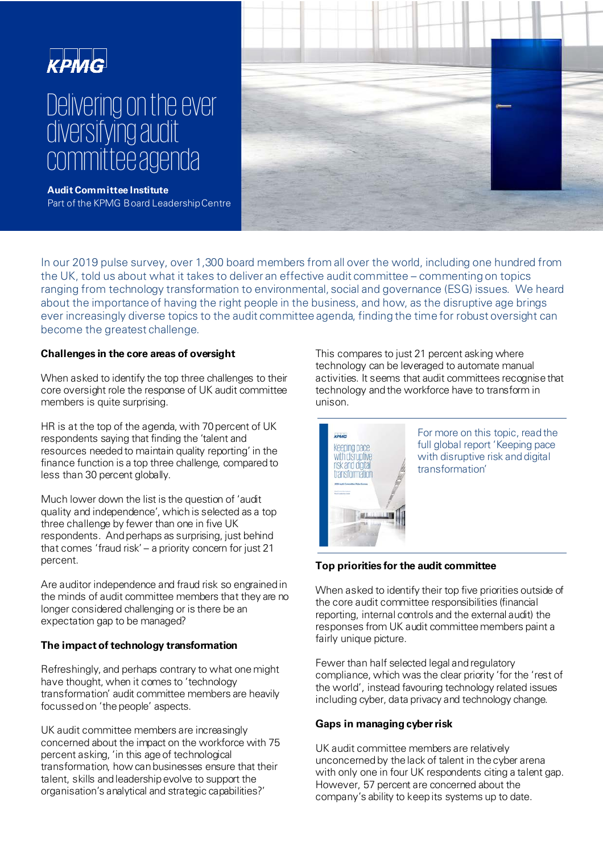## КРМС

# Delivering on the ever diversifying audit committee agenda



**Audit Committee Institute** Part of the KPMG Board LeadershipCentre

In our 2019 pulse survey, over 1,300 board members from all over the world, including one hundred from the UK, told us about what it takes to deliver an effective audit committee – commenting on topics ranging from technology transformation to environmental, social and governance (ESG) issues. We heard about the importance of having the right people in the business, and how, as the disruptive age brings ever increasingly diverse topics to the audit committee agenda, finding the time for robust oversight can become the greatest challenge.

#### **Challenges in the core areas of oversight**

When asked to identify the top three challenges to their core oversight role the response of UK audit committee members is quite surprising.

HR is at the top of the agenda, with 70 percent of UK respondents saying that finding the 'talent and resources needed to maintain quality reporting' in the finance function is a top three challenge, compared to less than 30 percent globally.

Much lower down the list is the question of 'audit quality and independence', which is selected as a top three challenge by fewer than one in five UK respondents. And perhaps as surprising, just behind that comes 'fraud risk' – a priority concern for just 21 percent.

Are auditor independence and fraud risk so engrained in the minds of audit committee members that they are no longer considered challenging or is there be an expectation gap to be managed?

#### **The impact of technology transformation**

Refreshingly, and perhaps contrary to what one might have thought, when it comes to 'technology transformation' audit committee members are heavily focussed on 'the people' aspects.

UK audit committee members are increasingly concerned about the impact on the workforce with 75 percent asking, 'in this age of technological transformation, how can businesses ensure that their talent, skills and leadership evolve to support the organisation's analytical and strategic capabilities?'

This compares to just 21 percent asking where technology can be leveraged to automate manual activities. It seems that audit committees recognise that technology and the workforce have to transform in unison.



For more on this topic, read the full global report 'Keeping pace with disruptive risk and digital transformation'

### **Top priorities for the audit committee**

When asked to identify their top five priorities outside of the core audit committee responsibilities (financial reporting, internal controls and the external audit) the responses from UK audit committee members paint a fairly unique picture.

Fewer than half selected legal and regulatory compliance, which was the clear priority 'for the 'rest of the world', instead favouring technology related issues including cyber, data privacy and technology change.

#### **Gaps in managing cyber risk**

UK audit committee members are relatively unconcerned by the lack of talent in the cyber arena with only one in four UK respondents citing a talent gap. However, 57 percent are concerned about the company's ability to keep its systems up to date.